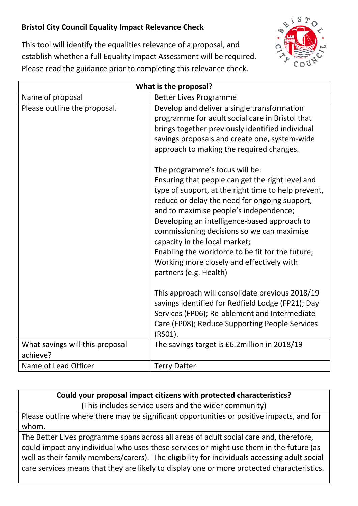## **Bristol City Council Equality Impact Relevance Check**



This tool will identify the equalities relevance of a proposal, and establish whether a full Equality Impact Assessment will be required. Please read the guidance prior to completing this relevance check.

| What is the proposal?           |                                                                                                                                                                                                                                                                                                                                                                                                                                                                                                |
|---------------------------------|------------------------------------------------------------------------------------------------------------------------------------------------------------------------------------------------------------------------------------------------------------------------------------------------------------------------------------------------------------------------------------------------------------------------------------------------------------------------------------------------|
| Name of proposal                | <b>Better Lives Programme</b>                                                                                                                                                                                                                                                                                                                                                                                                                                                                  |
| Please outline the proposal.    | Develop and deliver a single transformation<br>programme for adult social care in Bristol that<br>brings together previously identified individual<br>savings proposals and create one, system-wide<br>approach to making the required changes.                                                                                                                                                                                                                                                |
|                                 | The programme's focus will be:<br>Ensuring that people can get the right level and<br>type of support, at the right time to help prevent,<br>reduce or delay the need for ongoing support,<br>and to maximise people's independence;<br>Developing an intelligence-based approach to<br>commissioning decisions so we can maximise<br>capacity in the local market;<br>Enabling the workforce to be fit for the future;<br>Working more closely and effectively with<br>partners (e.g. Health) |
|                                 | This approach will consolidate previous 2018/19<br>savings identified for Redfield Lodge (FP21); Day<br>Services (FP06); Re-ablement and Intermediate<br>Care (FP08); Reduce Supporting People Services<br>(RSO1).                                                                                                                                                                                                                                                                             |
| What savings will this proposal | The savings target is £6.2million in 2018/19                                                                                                                                                                                                                                                                                                                                                                                                                                                   |
| achieve?                        |                                                                                                                                                                                                                                                                                                                                                                                                                                                                                                |
| Name of Lead Officer            | <b>Terry Dafter</b>                                                                                                                                                                                                                                                                                                                                                                                                                                                                            |

**Could your proposal impact citizens with protected characteristics?** (This includes service users and the wider community)

Please outline where there may be significant opportunities or positive impacts, and for whom.

The Better Lives programme spans across all areas of adult social care and, therefore, could impact any individual who uses these services or might use them in the future (as well as their family members/carers). The eligibility for individuals accessing adult social care services means that they are likely to display one or more protected characteristics.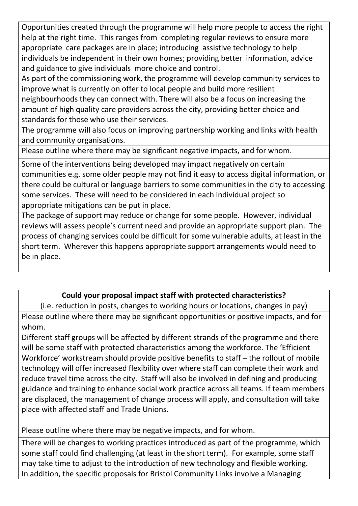Opportunities created through the programme will help more people to access the right help at the right time. This ranges from completing regular reviews to ensure more appropriate care packages are in place; introducing assistive technology to help individuals be independent in their own homes; providing better information, advice and guidance to give individuals more choice and control.

As part of the commissioning work, the programme will develop community services to improve what is currently on offer to local people and build more resilient neighbourhoods they can connect with. There will also be a focus on increasing the amount of high quality care providers across the city, providing better choice and standards for those who use their services.

The programme will also focus on improving partnership working and links with health and community organisations.

Please outline where there may be significant negative impacts, and for whom.

Some of the interventions being developed may impact negatively on certain communities e.g. some older people may not find it easy to access digital information, or there could be cultural or language barriers to some communities in the city to accessing some services. These will need to be considered in each individual project so appropriate mitigations can be put in place.

The package of support may reduce or change for some people. However, individual reviews will assess people's current need and provide an appropriate support plan. The process of changing services could be difficult for some vulnerable adults, at least in the short term. Wherever this happens appropriate support arrangements would need to be in place.

## **Could your proposal impact staff with protected characteristics?**

(i.e. reduction in posts, changes to working hours or locations, changes in pay) Please outline where there may be significant opportunities or positive impacts, and for whom.

Different staff groups will be affected by different strands of the programme and there will be some staff with protected characteristics among the workforce. The 'Efficient Workforce' workstream should provide positive benefits to staff – the rollout of mobile technology will offer increased flexibility over where staff can complete their work and reduce travel time across the city. Staff will also be involved in defining and producing guidance and training to enhance social work practice across all teams. If team members are displaced, the management of change process will apply, and consultation will take place with affected staff and Trade Unions.

Please outline where there may be negative impacts, and for whom.

There will be changes to working practices introduced as part of the programme, which some staff could find challenging (at least in the short term). For example, some staff may take time to adjust to the introduction of new technology and flexible working. In addition, the specific proposals for Bristol Community Links involve a Managing